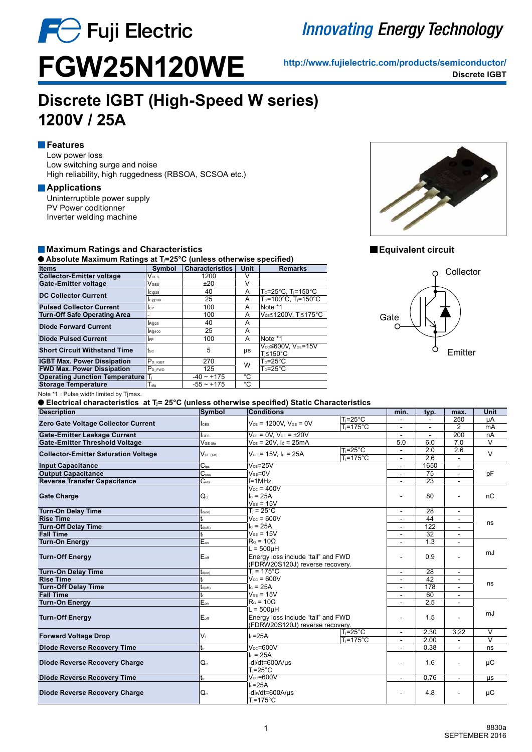

# **Innovating Energy Technology**

**http://www.fujielectric.com/products/semiconductor/ FGW25N120WE Discrete IGBT**

# **Discrete IGBT (High-Speed W series) 1200V / 25A**

### **Features**

Low power loss Low switching surge and noise High reliability, high ruggedness (RBSOA, SCSOA etc.)

#### **Applications**

Uninterruptible power supply PV Power coditionner Inverter welding machine

#### **Maximum Ratings and Characteristics**

 **Absolute Maximum Ratings at Tj=25°C (unless otherwise specified)**

| <b>Items</b>                          | Symbol                      | <b>Characteristics</b> | Unit | <b>Remarks</b>                              |
|---------------------------------------|-----------------------------|------------------------|------|---------------------------------------------|
| <b>Collector-Emitter voltage</b>      | $V_{\texttt{CES}}$          | 1200                   |      |                                             |
| Gate-Emitter voltage                  | $V$ ges                     | ±20                    | V    |                                             |
| <b>DC Collector Current</b>           | c@25                        | 40                     | A    | $T_c = 25^{\circ}$ C, $T_i = 150^{\circ}$ C |
|                                       | c <sub>@100</sub>           | 25                     | A    | Tc=100°C. Ti=150°C                          |
| <b>Pulsed Collector Current</b>       | <b>I</b> CP                 | 100                    | A    | Note *1                                     |
| <b>Turn-Off Safe Operating Area</b>   |                             | 100                    | A    | VCE≤1200V. Ti≤175°C                         |
| <b>Diode Forward Current</b>          | F@25                        | 40                     | A    |                                             |
|                                       | F@100                       | 25                     | A    |                                             |
| <b>Diode Pulsed Current</b>           | <b>IFP</b>                  | 100                    | A    | Note *1                                     |
| <b>Short Circuit Withstand Time</b>   | tsc                         | 5                      | μs   | Vcc≤600V. VGE=15V<br>T <sub>i</sub> ≤150°C  |
| <b>IGBT Max. Power Dissipation</b>    | P <sub>D IGBT</sub>         | 270                    | W    | $T_c$ =25°C                                 |
| <b>FWD Max. Power Dissipation</b>     | P <sub>D FWD</sub>          | 125                    |      | $T_c$ =25°C                                 |
| <b>Operating Junction Temperature</b> | T,                          | $-40 \sim +175$        | °C   |                                             |
| <b>Storage Temperature</b>            | $\mathsf{T}_{\mathsf{stg}}$ | $-55 \sim +175$        | °С   |                                             |
|                                       |                             |                        |      |                                             |



#### **Equivalent circuit**



Note \*1 : Pulse width limited by Tjmax.

**■ Electrical characteristics at T<sub>i</sub>= 25°C (unless otherwise specified) Static Characteristics** 

| <b>Description</b>                          | <b>Symbol</b>               | $\frac{1}{2}$<br>Conditions                                           |                          | min.           | typ.            | max.           | <b>Unit</b> |
|---------------------------------------------|-----------------------------|-----------------------------------------------------------------------|--------------------------|----------------|-----------------|----------------|-------------|
|                                             |                             |                                                                       | $T_i = 25^{\circ}C$      |                |                 | 250            | μA          |
| Zero Gate Voltage Collector Current         | $l$ <sub>CES</sub>          | $V_{CE}$ = 1200V, $V_{GE}$ = 0V                                       | Ti=175°C                 | ÷.             | $\blacksquare$  | $\overline{2}$ | mA          |
| <b>Gate-Emitter Leakage Current</b>         | <b>IGES</b>                 | $V_{CE}$ = 0V. $V_{GE}$ = $\pm 20V$                                   |                          | ÷.             | $\sim$          | 200            | nA          |
| <b>Gate-Emitter Threshold Voltage</b>       | $V_{GE(th)}$                | $V_{CE} = 20V$ , $I_C = 25mA$                                         |                          | 5.0            | 6.0             | 7.0            | V           |
|                                             | $V_{CE (sat)}$              | $V_{GE}$ = 15V. Ic = 25A                                              | $T_i = 25^{\circ}C$      | $\blacksquare$ | 2.0             | 2.6            | $\vee$      |
| <b>Collector-Emitter Saturation Voltage</b> |                             |                                                                       | T <sub>i</sub> =175°C    | ۰              | 2.6             |                |             |
| <b>Input Capacitance</b>                    | $\overline{C_{\text{ies}}}$ | $V_{CF} = 25V$                                                        |                          |                | 1650            | $\blacksquare$ |             |
| <b>Output Capacitance</b>                   | C <sub>oes</sub>            | $VGE=0V$                                                              |                          |                | 75              | $\sim$         | pF          |
| <b>Reverse Transfer Capacitance</b>         | $C_{res}$                   | $f = 1$ MHz                                                           |                          | ۰              | $\overline{23}$ |                |             |
|                                             |                             | $\overline{V_{cc}}$ = 400V                                            |                          |                |                 |                |             |
| <b>Gate Charge</b>                          | Q <sub>G</sub>              |                                                                       | $I_c = 25A$              |                | 80              | ÷.             | nC          |
|                                             |                             | $V_{GE}$ = 15V                                                        |                          |                |                 |                |             |
| <b>Turn-On Delay Time</b>                   | $t_{d(on)}$                 | $T_i = 25^{\circ}C$                                                   |                          | ÷              | 28              | $\sim$         |             |
| <b>Rise Time</b>                            | t                           | $V_{cc}$ = 600V                                                       |                          | ٠              | 44              | $\sim$         | ns          |
| <b>Turn-Off Delay Time</b>                  | $t_{d(off)}$                | $I_c = 25A$<br>$V_{GF}$ = 15V                                         |                          | ٠              | 122             | ٠              |             |
| <b>Fall Time</b>                            | t                           | $RG = 10\Omega$                                                       |                          |                | 32              |                |             |
| <b>Turn-On Energy</b>                       | $E_{on}$                    |                                                                       |                          | ۰              | 1.3             |                |             |
| <b>Turn-Off Energy</b>                      | Eoff                        |                                                                       | $L = 500$ µH             |                | 0.9             | $\blacksquare$ | mJ          |
|                                             |                             | Energy loss include "tail" and FWD<br>(FDRW20S120J) reverse recovery. |                          | ٠              |                 |                |             |
| <b>Turn-On Delay Time</b>                   | $t_{d(on)}$                 | $T_i = 175^{\circ}C$                                                  |                          | $\frac{1}{2}$  | 28              | $\sim$         |             |
| <b>Rise Time</b>                            | t,                          | $V_{cc}$ = 600V                                                       |                          | ٠              | 42              | $\blacksquare$ |             |
| <b>Turn-Off Delay Time</b>                  | $t_{d(off)}$                | $I_c = 25A$                                                           |                          | $\blacksquare$ | 178             | $\blacksquare$ | ns          |
| <b>Fall Time</b>                            | tı                          | $V_{GE}$ = 15V                                                        | ٠                        | 60             |                 |                |             |
| <b>Turn-On Energy</b>                       | $E_{on}$                    | $RG = 10\Omega$                                                       |                          |                | 2.5             |                |             |
|                                             |                             | $L = 500$ uH                                                          |                          |                |                 |                |             |
| <b>Turn-Off Energy</b>                      | Eoff                        | Energy loss include "tail" and FWD                                    |                          | 1.5<br>٠       |                 |                | mJ          |
|                                             |                             | (FDRW20S120J) reverse recovery.                                       |                          |                |                 |                |             |
| <b>Forward Voltage Drop</b>                 | $V_F$                       | $I_F = 25A$                                                           | $T = 25^{\circ}$ C       | $\sim$         | 2.30            | 3.22           | V           |
|                                             |                             | Ti=175°C                                                              | $\overline{\phantom{a}}$ | 2.00           | $\mathbf{r}$    | V              |             |
| <b>Diode Reverse Recovery Time</b>          | $t_{rr}$                    | $V_{cc} = 600V$                                                       |                          | $\blacksquare$ | 0.38            | $\sim$         | ns          |
|                                             |                             | $I_F = 25A$                                                           |                          |                |                 |                |             |
| <b>Diode Reverse Recovery Charge</b>        | $Q_{rr}$                    | -di/dt=600A/us                                                        |                          | ۰              | 1.6             |                | μC          |
|                                             |                             | $T_i = 25^\circ C$                                                    |                          |                |                 |                |             |
| <b>Diode Reverse Recovery Time</b>          | tr                          | $V_{cc} = 600V$                                                       |                          | ٠              | 0.76            | $\sim$         | μs          |
|                                             |                             | $I_F = 25A$                                                           |                          |                |                 |                |             |
| <b>Diode Reverse Recovery Charge</b>        | $Q_{rr}$                    | -dir/dt=600A/us                                                       |                          | ۰              | 4.8             |                | μC          |
|                                             |                             | $T_i = 175^{\circ}C$                                                  |                          |                |                 |                |             |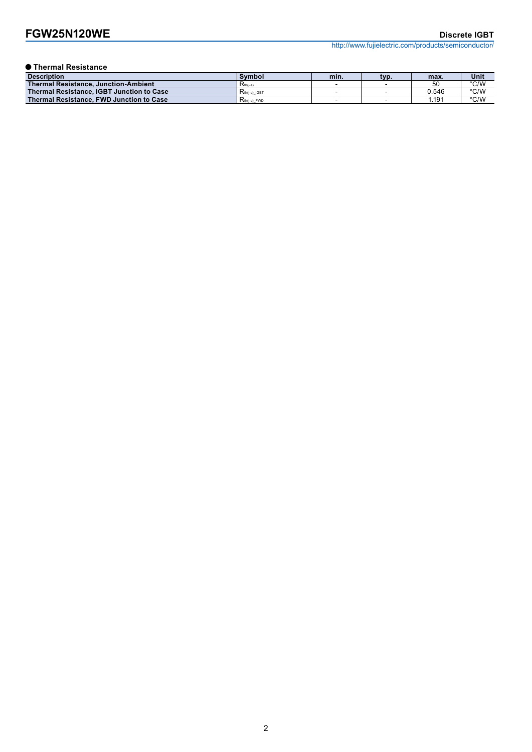# **FGW25N120WE** Discrete IGBT

http://www.fujielectric.com/products/semiconductor/

### **Thermal Resistance**

| <b>Description</b>                              | <b>Symbol</b>   | min. | typ. | max.  | Unit          |
|-------------------------------------------------|-----------------|------|------|-------|---------------|
| <b>Thermal Resistance, Junction-Ambient</b>     | $Rth(i-a)$      |      |      | 50    | °C/W          |
| Thermal Resistance, IGBT Junction to Case       | $Rth(i-c)$ IGBT |      |      | J.546 | °C/W          |
| <b>Thermal Resistance, FWD Junction to Case</b> | $Rth(i-c)$ FWD  |      |      | .191  | $\degree$ C/W |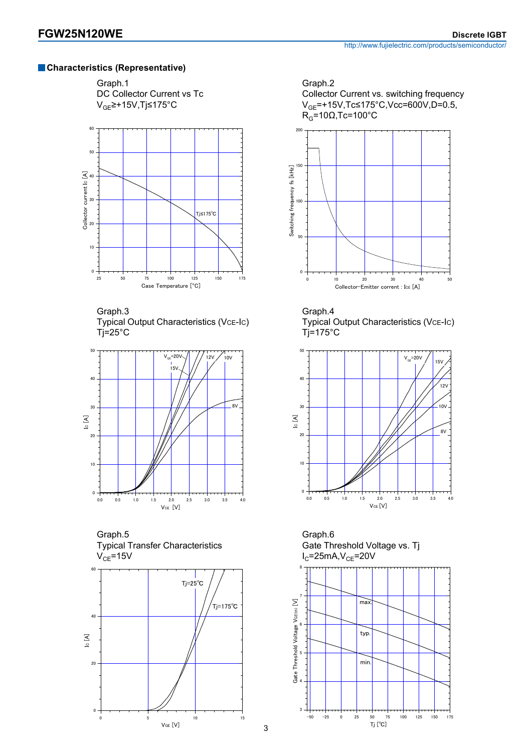### **Characteristics (Representative)**

Graph.1





Graph.3 Typical Output Characteristics (VcE-Ic)  $Ti=25^{\circ}C$ 



Graph.5 Typical Transfer Characteristics  $V_{CE}$ =15V











Graph.6 Gate Threshold Voltage vs. Tj  $I_{C}$ =25mA, $V_{CE}$ =20V

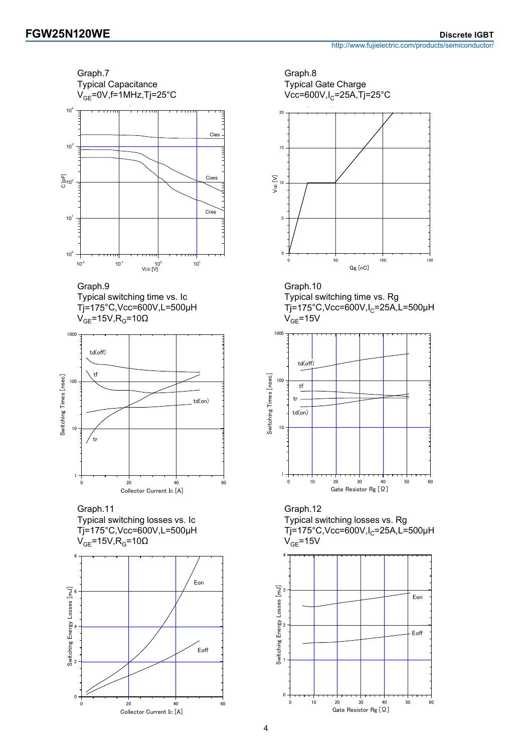Graph.7 Typical Capacitance



Graph.9 Typical switching time vs. Ic Tj=175°C,Vcc=600V,L=500µH  $V_{GF}$ =15V,R<sub>G</sub>=10Ω



Graph.11 Typical switching losses vs. Ic Tj=175°C,Vcc=600V,L=500µH  $V_{GF}$ =15V,R<sub>G</sub>=10Ω







Graph.10 Typical switching time vs. Rg  $Tj=175^{\circ}$ C,Vcc=600V,I<sub>C</sub>=25A,L=500µH  $V_{GF}$ =15V



Graph.12 Typical switching losses vs. Rg  $Ti=175^{\circ}$ C, Vcc=600V, I<sub>C</sub>=25A, L=500µH  $V_{GF}$ =15V

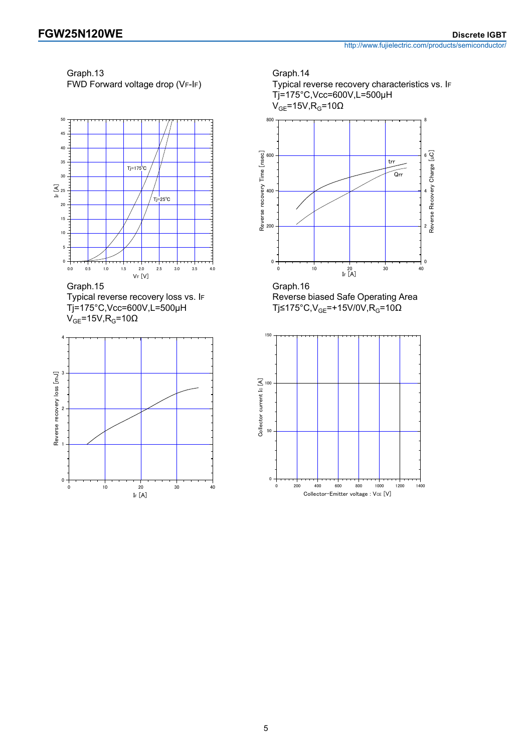Graph.13 FWD Forward voltage drop (VF-IF)







Graph.14 Typical reverse recovery characteristics vs. IF Tj=175°C,Vcc=600V,L=500µH  $V_{GE}$ =15V, R<sub>G</sub>=10Ω



Graph.16 Reverse biased Safe Operating Area Tj≤175°C,V<sub>GE</sub>=+15V/0V,R<sub>G</sub>=10Ω



 $45$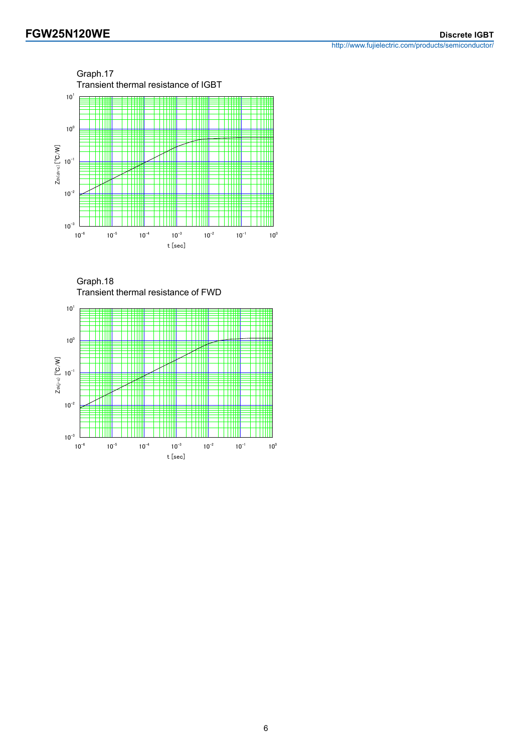http://www.fujielectric.com/products/semiconductor/



Graph.18 Transient thermal resistance of FWD

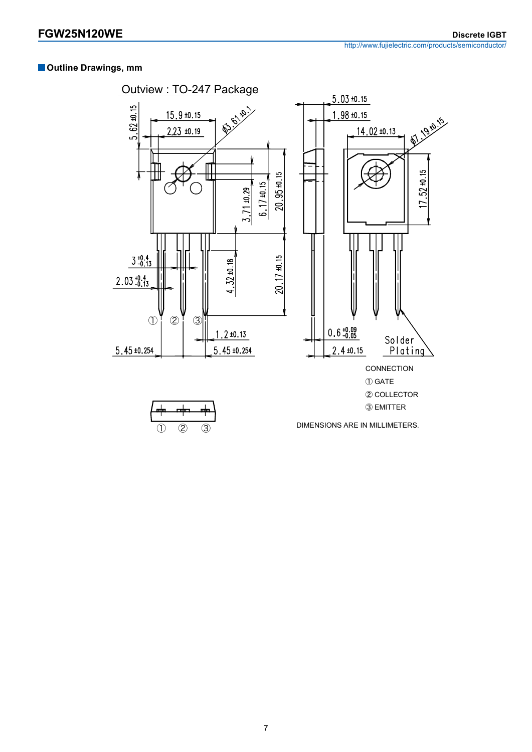### **Outline Drawings, mm**

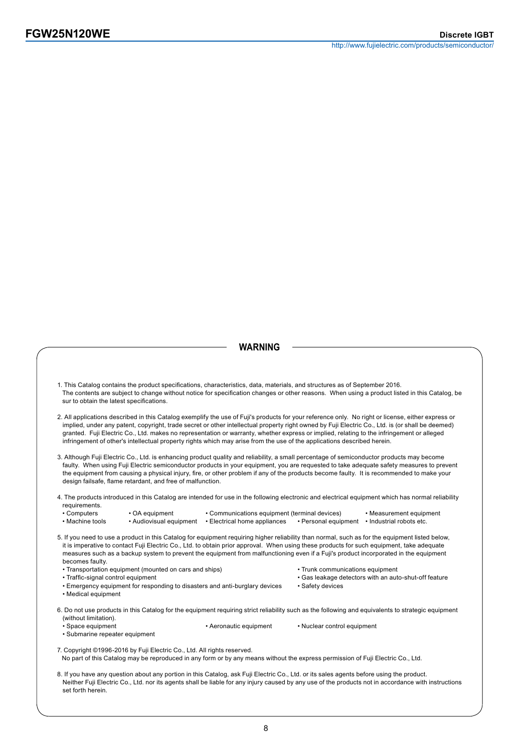set forth herein.

http://www.fujielectric.com/products/semiconductor/

#### **WARNING**

1. This Catalog contains the product specifications, characteristics, data, materials, and structures as of September 2016. The contents are subject to change without notice for specification changes or other reasons. When using a product listed in this Catalog, be sur to obtain the latest specifications. 2. All applications described in this Catalog exemplify the use of Fuji's products for your reference only. No right or license, either express or implied, under any patent, copyright, trade secret or other intellectual property right owned by Fuji Electric Co., Ltd. is (or shall be deemed) granted. Fuji Electric Co., Ltd. makes no representation or warranty, whether express or implied, relating to the infringement or alleged infringement of other's intellectual property rights which may arise from the use of the applications described herein. 3. Although Fuji Electric Co., Ltd. is enhancing product quality and reliability, a small percentage of semiconductor products may become faulty. When using Fuji Electric semiconductor products in your equipment, you are requested to take adequate safety measures to prevent the equipment from causing a physical injury, fire, or other problem if any of the products become faulty. It is recommended to make your design failsafe, flame retardant, and free of malfunction. 4. The products introduced in this Catalog are intended for use in the following electronic and electrical equipment which has normal reliability requirements.<br>• Computers • Computers • OA equipment • Communications equipment (terminal devices) • Measurement equipment • Machine tools • Audiovisual equipment • Electrical home appliances • Personal equipment • Industrial robots etc. • Audiovisual equipment • Electrical home appliances 5. If you need to use a product in this Catalog for equipment requiring higher reliability than normal, such as for the equipment listed below, it is imperative to contact Fuji Electric Co., Ltd. to obtain prior approval. When using these products for such equipment, take adequate measures such as a backup system to prevent the equipment from malfunctioning even if a Fuji's product incorporated in the equipment becomes faulty. • Transportation equipment (mounted on cars and ships) • Trunk communications equipment • Traffic-signal control equipment **• Gas leakage detectors with an auto-shut-off feature** • Emergency equipment for responding to disasters and anti-burglary devices • Safety devices • Medical equipment 6. Do not use products in this Catalog for the equipment requiring strict reliability such as the following and equivalents to strategic equipment (without limitation). • Space equipment • Aeronautic equipment • Nuclear control equipment • Submarine repeater equipment 7. Copyright ©1996-2016 by Fuji Electric Co., Ltd. All rights reserved. No part of this Catalog may be reproduced in any form or by any means without the express permission of Fuji Electric Co., Ltd. 8. If you have any question about any portion in this Catalog, ask Fuji Electric Co., Ltd. or its sales agents before using the product. Neither Fuji Electric Co., Ltd. nor its agents shall be liable for any injury caused by any use of the products not in accordance with instructions